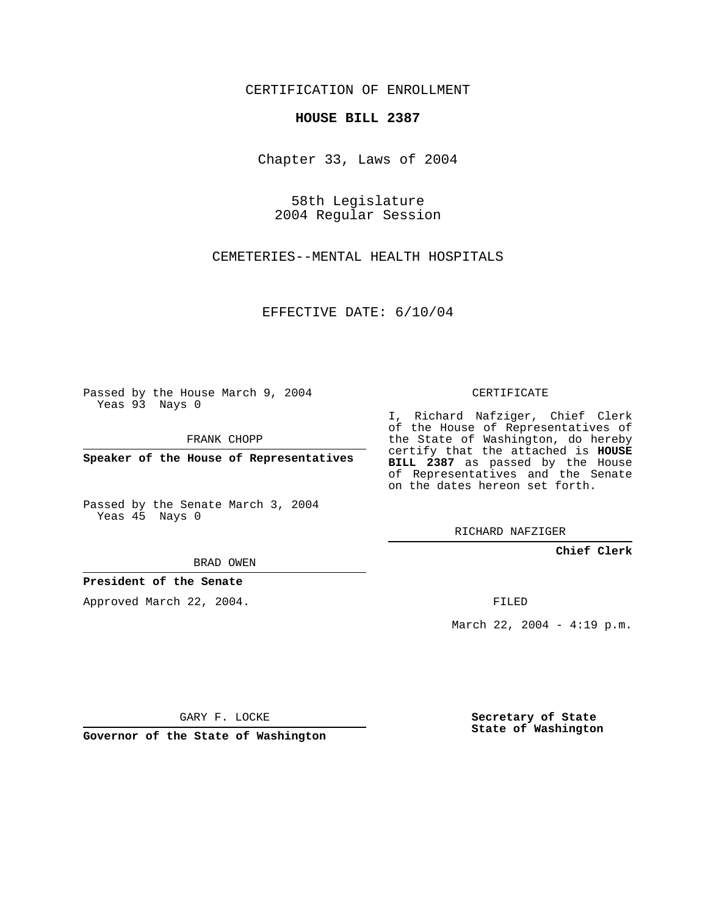CERTIFICATION OF ENROLLMENT

## **HOUSE BILL 2387**

Chapter 33, Laws of 2004

58th Legislature 2004 Regular Session

CEMETERIES--MENTAL HEALTH HOSPITALS

EFFECTIVE DATE: 6/10/04

Passed by the House March 9, 2004 Yeas 93 Nays 0

FRANK CHOPP

**Speaker of the House of Representatives**

Passed by the Senate March 3, 2004 Yeas 45 Nays 0

BRAD OWEN

**President of the Senate**

Approved March 22, 2004.

CERTIFICATE

I, Richard Nafziger, Chief Clerk of the House of Representatives of the State of Washington, do hereby certify that the attached is **HOUSE BILL 2387** as passed by the House of Representatives and the Senate on the dates hereon set forth.

RICHARD NAFZIGER

**Chief Clerk**

FILED

March 22, 2004 - 4:19 p.m.

GARY F. LOCKE

**Governor of the State of Washington**

**Secretary of State State of Washington**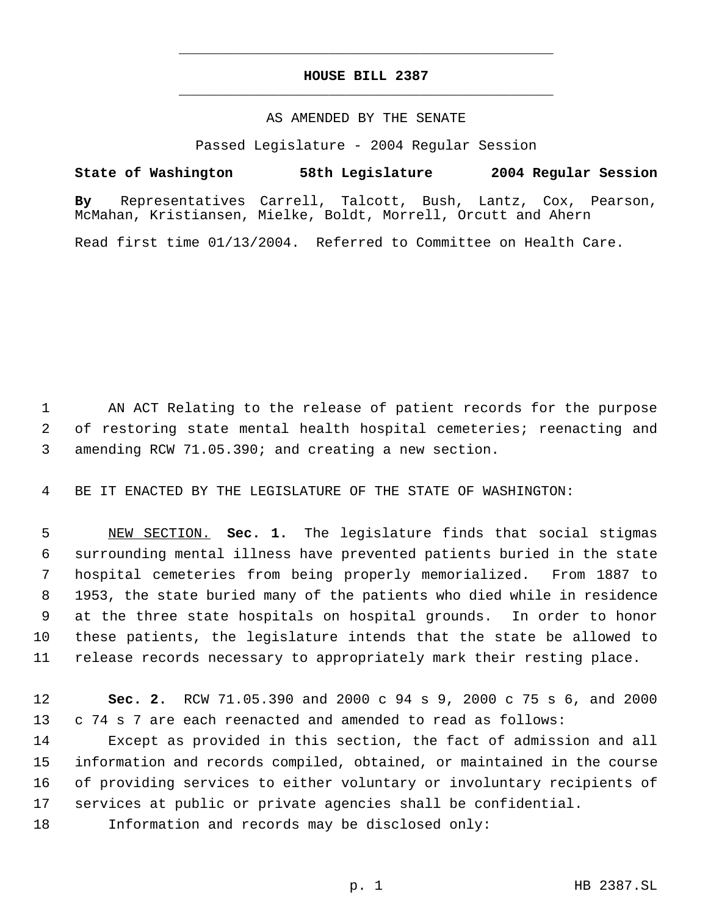## **HOUSE BILL 2387** \_\_\_\_\_\_\_\_\_\_\_\_\_\_\_\_\_\_\_\_\_\_\_\_\_\_\_\_\_\_\_\_\_\_\_\_\_\_\_\_\_\_\_\_\_

\_\_\_\_\_\_\_\_\_\_\_\_\_\_\_\_\_\_\_\_\_\_\_\_\_\_\_\_\_\_\_\_\_\_\_\_\_\_\_\_\_\_\_\_\_

## AS AMENDED BY THE SENATE

Passed Legislature - 2004 Regular Session

## **State of Washington 58th Legislature 2004 Regular Session**

**By** Representatives Carrell, Talcott, Bush, Lantz, Cox, Pearson, McMahan, Kristiansen, Mielke, Boldt, Morrell, Orcutt and Ahern

Read first time 01/13/2004. Referred to Committee on Health Care.

 AN ACT Relating to the release of patient records for the purpose of restoring state mental health hospital cemeteries; reenacting and amending RCW 71.05.390; and creating a new section.

BE IT ENACTED BY THE LEGISLATURE OF THE STATE OF WASHINGTON:

 NEW SECTION. **Sec. 1.** The legislature finds that social stigmas surrounding mental illness have prevented patients buried in the state hospital cemeteries from being properly memorialized. From 1887 to 1953, the state buried many of the patients who died while in residence at the three state hospitals on hospital grounds. In order to honor these patients, the legislature intends that the state be allowed to release records necessary to appropriately mark their resting place.

 **Sec. 2.** RCW 71.05.390 and 2000 c 94 s 9, 2000 c 75 s 6, and 2000 c 74 s 7 are each reenacted and amended to read as follows:

 Except as provided in this section, the fact of admission and all information and records compiled, obtained, or maintained in the course of providing services to either voluntary or involuntary recipients of services at public or private agencies shall be confidential.

Information and records may be disclosed only: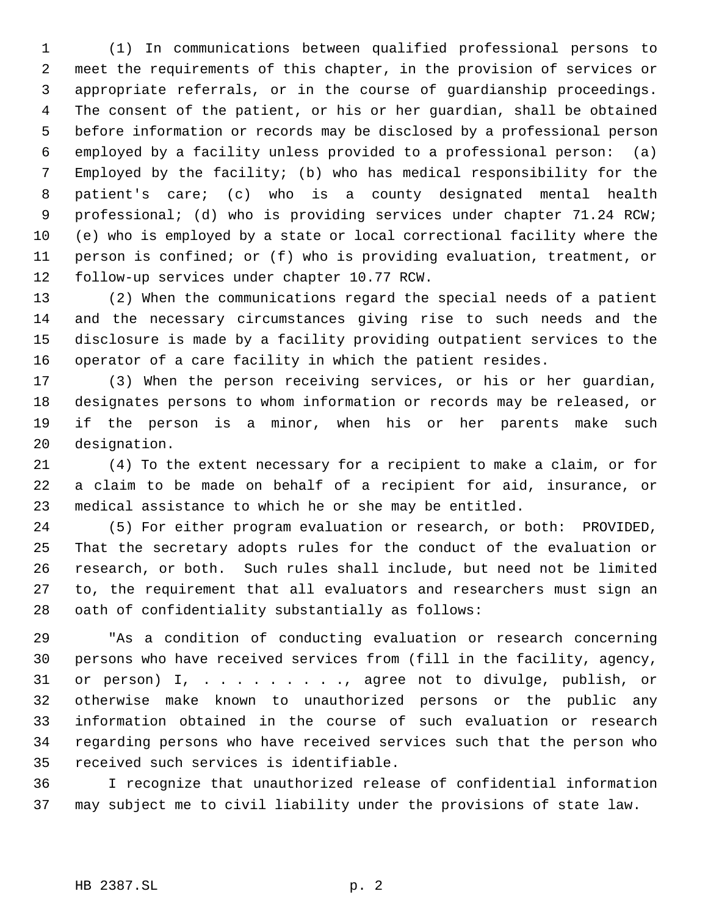(1) In communications between qualified professional persons to meet the requirements of this chapter, in the provision of services or appropriate referrals, or in the course of guardianship proceedings. The consent of the patient, or his or her guardian, shall be obtained before information or records may be disclosed by a professional person employed by a facility unless provided to a professional person: (a) Employed by the facility; (b) who has medical responsibility for the patient's care; (c) who is a county designated mental health professional; (d) who is providing services under chapter 71.24 RCW; (e) who is employed by a state or local correctional facility where the person is confined; or (f) who is providing evaluation, treatment, or follow-up services under chapter 10.77 RCW.

 (2) When the communications regard the special needs of a patient and the necessary circumstances giving rise to such needs and the disclosure is made by a facility providing outpatient services to the operator of a care facility in which the patient resides.

 (3) When the person receiving services, or his or her guardian, designates persons to whom information or records may be released, or if the person is a minor, when his or her parents make such designation.

 (4) To the extent necessary for a recipient to make a claim, or for a claim to be made on behalf of a recipient for aid, insurance, or medical assistance to which he or she may be entitled.

 (5) For either program evaluation or research, or both: PROVIDED, That the secretary adopts rules for the conduct of the evaluation or research, or both. Such rules shall include, but need not be limited to, the requirement that all evaluators and researchers must sign an oath of confidentiality substantially as follows:

 "As a condition of conducting evaluation or research concerning persons who have received services from (fill in the facility, agency, or person) I, . . . . . . . . ., agree not to divulge, publish, or otherwise make known to unauthorized persons or the public any information obtained in the course of such evaluation or research regarding persons who have received services such that the person who received such services is identifiable.

 I recognize that unauthorized release of confidential information may subject me to civil liability under the provisions of state law.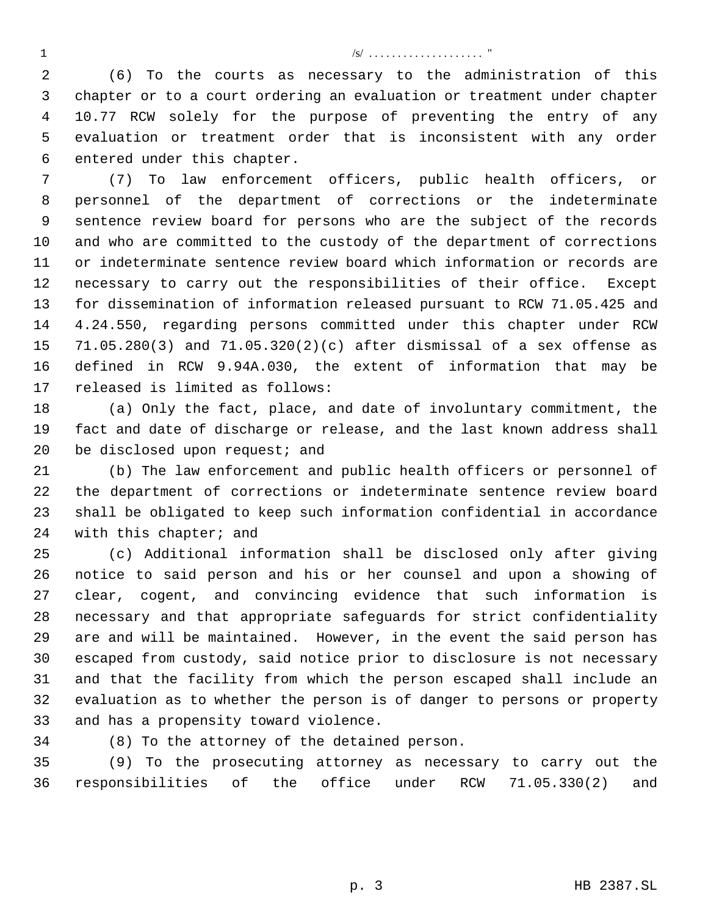/s/ . . . . . . . . . . . . . . . . . . . . "

 (6) To the courts as necessary to the administration of this chapter or to a court ordering an evaluation or treatment under chapter 10.77 RCW solely for the purpose of preventing the entry of any evaluation or treatment order that is inconsistent with any order entered under this chapter.

 (7) To law enforcement officers, public health officers, or personnel of the department of corrections or the indeterminate sentence review board for persons who are the subject of the records and who are committed to the custody of the department of corrections or indeterminate sentence review board which information or records are necessary to carry out the responsibilities of their office. Except for dissemination of information released pursuant to RCW 71.05.425 and 4.24.550, regarding persons committed under this chapter under RCW 71.05.280(3) and 71.05.320(2)(c) after dismissal of a sex offense as defined in RCW 9.94A.030, the extent of information that may be released is limited as follows:

 (a) Only the fact, place, and date of involuntary commitment, the fact and date of discharge or release, and the last known address shall 20 be disclosed upon request; and

 (b) The law enforcement and public health officers or personnel of the department of corrections or indeterminate sentence review board shall be obligated to keep such information confidential in accordance with this chapter; and

 (c) Additional information shall be disclosed only after giving notice to said person and his or her counsel and upon a showing of clear, cogent, and convincing evidence that such information is necessary and that appropriate safeguards for strict confidentiality are and will be maintained. However, in the event the said person has escaped from custody, said notice prior to disclosure is not necessary and that the facility from which the person escaped shall include an evaluation as to whether the person is of danger to persons or property and has a propensity toward violence.

(8) To the attorney of the detained person.

 (9) To the prosecuting attorney as necessary to carry out the responsibilities of the office under RCW 71.05.330(2) and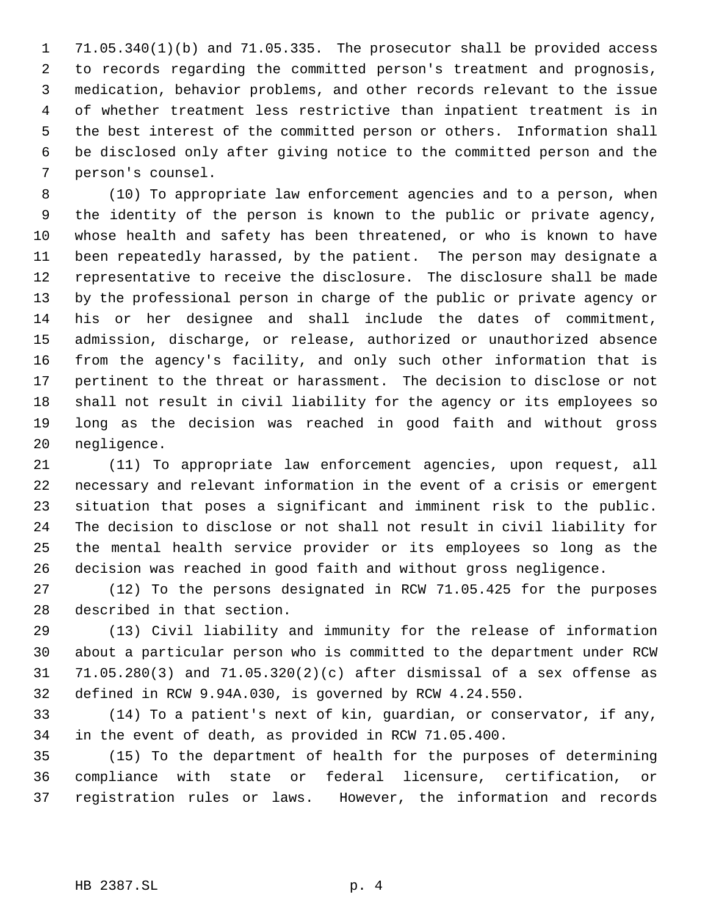71.05.340(1)(b) and 71.05.335. The prosecutor shall be provided access to records regarding the committed person's treatment and prognosis, medication, behavior problems, and other records relevant to the issue of whether treatment less restrictive than inpatient treatment is in the best interest of the committed person or others. Information shall be disclosed only after giving notice to the committed person and the person's counsel.

 (10) To appropriate law enforcement agencies and to a person, when the identity of the person is known to the public or private agency, whose health and safety has been threatened, or who is known to have been repeatedly harassed, by the patient. The person may designate a representative to receive the disclosure. The disclosure shall be made by the professional person in charge of the public or private agency or his or her designee and shall include the dates of commitment, admission, discharge, or release, authorized or unauthorized absence from the agency's facility, and only such other information that is pertinent to the threat or harassment. The decision to disclose or not shall not result in civil liability for the agency or its employees so long as the decision was reached in good faith and without gross negligence.

 (11) To appropriate law enforcement agencies, upon request, all necessary and relevant information in the event of a crisis or emergent situation that poses a significant and imminent risk to the public. The decision to disclose or not shall not result in civil liability for the mental health service provider or its employees so long as the decision was reached in good faith and without gross negligence.

 (12) To the persons designated in RCW 71.05.425 for the purposes described in that section.

 (13) Civil liability and immunity for the release of information about a particular person who is committed to the department under RCW 71.05.280(3) and 71.05.320(2)(c) after dismissal of a sex offense as defined in RCW 9.94A.030, is governed by RCW 4.24.550.

 (14) To a patient's next of kin, guardian, or conservator, if any, in the event of death, as provided in RCW 71.05.400.

 (15) To the department of health for the purposes of determining compliance with state or federal licensure, certification, or registration rules or laws. However, the information and records